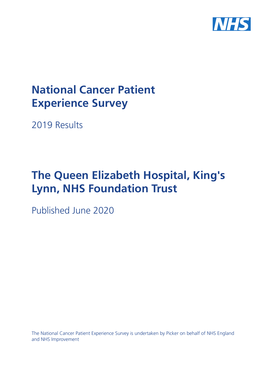

# **National Cancer Patient Experience Survey**

2019 Results

# **The Queen Elizabeth Hospital, King's Lynn, NHS Foundation Trust**

Published June 2020

The National Cancer Patient Experience Survey is undertaken by Picker on behalf of NHS England and NHS Improvement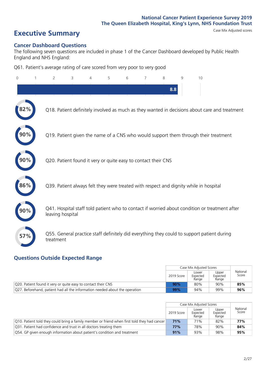# **Executive Summary** Case Mix Adjusted scores

### **Cancer Dashboard Questions**

The following seven questions are included in phase 1 of the Cancer Dashboard developed by Public Health England and NHS England:

Q61. Patient's average rating of care scored from very poor to very good

| $\Omega$ | $\overline{2}$                                                | 3 | $\overline{4}$ | 5 | 6 | $\overline{7}$ | 8   | 9 | 10                                                                                            |  |
|----------|---------------------------------------------------------------|---|----------------|---|---|----------------|-----|---|-----------------------------------------------------------------------------------------------|--|
|          |                                                               |   |                |   |   |                | 8.8 |   |                                                                                               |  |
| 82%      |                                                               |   |                |   |   |                |     |   | Q18. Patient definitely involved as much as they wanted in decisions about care and treatment |  |
|          |                                                               |   |                |   |   |                |     |   | Q19. Patient given the name of a CNS who would support them through their treatment           |  |
|          | Q20. Patient found it very or quite easy to contact their CNS |   |                |   |   |                |     |   |                                                                                               |  |
| 86%      |                                                               |   |                |   |   |                |     |   | Q39. Patient always felt they were treated with respect and dignity while in hospital         |  |
| 90%      | leaving hospital                                              |   |                |   |   |                |     |   | Q41. Hospital staff told patient who to contact if worried about condition or treatment after |  |
| 57%      | treatment                                                     |   |                |   |   |                |     |   | Q55. General practice staff definitely did everything they could to support patient during    |  |

### **Questions Outside Expected Range**

|                                                                             |            | Case Mix Adjusted Scores   |                            |                   |
|-----------------------------------------------------------------------------|------------|----------------------------|----------------------------|-------------------|
|                                                                             | 2019 Score | Lower<br>Expected<br>Range | Upper<br>Expected<br>Range | National<br>Score |
| Q20. Patient found it very or quite easy to contact their CNS               | 90%        | 80%                        | 90%                        | 85%               |
| Q27. Beforehand, patient had all the information needed about the operation | 99%        | 94%                        | 99%                        | 96%               |

|                                                                                                        |            | Case Mix Adjusted Scores   |                            |                   |
|--------------------------------------------------------------------------------------------------------|------------|----------------------------|----------------------------|-------------------|
|                                                                                                        | 2019 Score | Lower<br>Expected<br>Range | Upper<br>Expected<br>Range | National<br>Score |
| $\sqrt{Q}$ 10. Patient told they could bring a family member or friend when first told they had cancer | 71%        | 71%                        | 82%                        | 77%               |
| Q31. Patient had confidence and trust in all doctors treating them                                     | 77%        | 78%                        | 90%                        | 84%               |
| Q54. GP given enough information about patient's condition and treatment                               | 91%        | 93%                        | 98%                        | 95%               |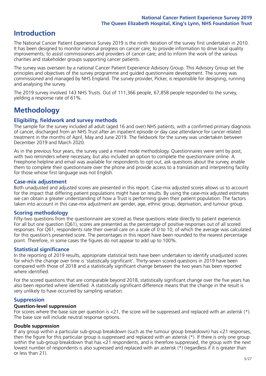## **Introduction**

The National Cancer Patient Experience Survey 2019 is the ninth iteration of the survey first undertaken in 2010. It has been designed to monitor national progress on cancer care; to provide information to drive local quality improvements; to assist commissioners and providers of cancer care; and to inform the work of the various charities and stakeholder groups supporting cancer patients.

The survey was overseen by a national Cancer Patient Experience Advisory Group. This Advisory Group set the principles and objectives of the survey programme and guided questionnaire development. The survey was commissioned and managed by NHS England. The survey provider, Picker, is responsible for designing, running and analysing the survey.

The 2019 survey involved 143 NHS Trusts. Out of 111,366 people, 67,858 people responded to the survey, yielding a response rate of 61%.

# **Methodology**

### **Eligibility, eldwork and survey methods**

The sample for the survey included all adult (aged 16 and over) NHS patients, with a confirmed primary diagnosis of cancer, discharged from an NHS Trust after an inpatient episode or day case attendance for cancer related treatment in the months of April, May and June 2019. The fieldwork for the survey was undertaken between December 2019 and March 2020.

As in the previous four years, the survey used a mixed mode methodology. Questionnaires were sent by post, with two reminders where necessary, but also included an option to complete the questionnaire online. A Freephone helpline and email was available for respondents to opt out, ask questions about the survey, enable them to complete their questionnaire over the phone and provide access to a translation and interpreting facility for those whose first language was not English.

### **Case-mix adjustment**

Both unadjusted and adjusted scores are presented in this report. Case-mix adjusted scores allows us to account for the impact that differing patient populations might have on results. By using the case-mix adjusted estimates we can obtain a greater understanding of how a Trust is performing given their patient population. The factors taken into account in this case-mix adjustment are gender, age, ethnic group, deprivation, and tumour group.

### **Scoring methodology**

Fifty-two questions from the questionnaire are scored as these questions relate directly to patient experience. For all but one question (Q61), scores are presented as the percentage of positive responses out of all scored responses. For Q61, respondents rate their overall care on a scale of 0 to 10, of which the average was calculated for this question's presented score. The percentages in this report have been rounded to the nearest percentage point. Therefore, in some cases the figures do not appear to add up to 100%.

### **Statistical significance**

In the reporting of 2019 results, appropriate statistical tests have been undertaken to identify unadjusted scores for which the change over time is 'statistically significant'. Thirty-seven scored questions in 2019 have been compared with those of 2018 and a statistically significant change between the two years has been reported where identified.

For the scored questions that are comparable beyond 2018, statistically significant change over the five years has also been reported where identified. A statistically significant difference means that the change in the result is very unlikely to have occurred by sampling variation.

### **Suppression**

### **Question-level suppression**

For scores where the base size per question is  $<$ 21, the score will be suppressed and replaced with an asterisk (\*). The base size will include neutral response options.

### **Double suppression**

If any group within a particular sub-group breakdown (such as the tumour group breakdown) has <21 responses, then the figure for this particular group is suppressed and replaced with an asterisk (\*). If there is only one group within the sub-group breakdown that has <21 respondents, and is therefore suppressed, the group with the next lowest number of respondents is also supressed and replaced with an asterisk (\*) (regardless if it is greater than or less than 21).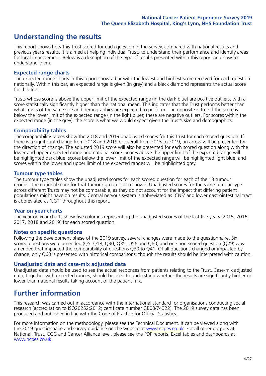## **Understanding the results**

This report shows how this Trust scored for each question in the survey, compared with national results and previous year's results. It is aimed at helping individual Trusts to understand their performance and identify areas for local improvement. Below is a description of the type of results presented within this report and how to understand them.

### **Expected range charts**

The expected range charts in this report show a bar with the lowest and highest score received for each question nationally. Within this bar, an expected range is given (in grey) and a black diamond represents the actual score for this Trust.

Trusts whose score is above the upper limit of the expected range (in the dark blue) are positive outliers, with a score statistically significantly higher than the national mean. This indicates that the Trust performs better than what Trusts of the same size and demographics are expected to perform. The opposite is true if the score is below the lower limit of the expected range (in the light blue); these are negative outliers. For scores within the expected range (in the grey), the score is what we would expect given the Trust's size and demographics.

### **Comparability tables**

The comparability tables show the 2018 and 2019 unadjusted scores for this Trust for each scored question. If there is a significant change from 2018 and 2019 or overall from 2015 to 2019, an arrow will be presented for the direction of change. The adjusted 2019 score will also be presented for each scored question along with the lower and upper expected range and national score. Scores above the upper limit of the expected range will be highlighted dark blue, scores below the lower limit of the expected range will be highlighted light blue, and scores within the lower and upper limit of the expected ranges will be highlighted grey.

### **Tumour type tables**

The tumour type tables show the unadjusted scores for each scored question for each of the 13 tumour groups. The national score for that tumour group is also shown. Unadjusted scores for the same tumour type across different Trusts may not be comparable, as they do not account for the impact that differing patient populations might have on results. Central nervous system is abbreviated as 'CNS' and lower gastrointestinal tract is abbreviated as 'LGT' throughout this report.

### **Year on year charts**

The year on year charts show five columns representing the unadjusted scores of the last five years (2015, 2016, 2017, 2018 and 2019) for each scored question.

#### **Notes on specific questions**

Following the development phase of the 2019 survey, several changes were made to the questionnaire. Six scored questions were amended (Q5, Q18, Q30, Q35, Q56 and Q60) and one non-scored question (Q29) was amended that impacted the comparability of questions Q30 to Q41. Of all questions changed or impacted by change, only Q60 is presented with historical comparisons; though the results should be interpreted with caution.

### **Unadjusted data and case-mix adjusted data**

Unadjusted data should be used to see the actual responses from patients relating to the Trust. Case-mix adjusted data, together with expected ranges, should be used to understand whether the results are significantly higher or lower than national results taking account of the patient mix.

### **Further information**

This research was carried out in accordance with the international standard for organisations conducting social research (accreditation to ISO20252:2012; certificate number GB08/74322). The 2019 survey data has been produced and published in line with the Code of Practice for Official Statistics.

For more information on the methodology, please see the Technical Document. It can be viewed along with the 2019 questionnaire and survey quidance on the website at [www.ncpes.co.uk](https://www.ncpes.co.uk/supporting-documents). For all other outputs at National, Trust, CCG and Cancer Alliance level, please see the PDF reports, Excel tables and dashboards at [www.ncpes.co.uk.](https://www.ncpes.co.uk/current-results)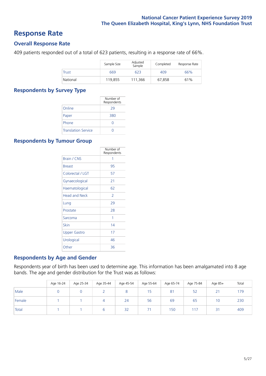### **Response Rate**

### **Overall Response Rate**

409 patients responded out of a total of 623 patients, resulting in a response rate of 66%.

|          | Sample Size | Adjusted<br>Sample | Completed | Response Rate |
|----------|-------------|--------------------|-----------|---------------|
| Trust    | 669         | 623                | 409       | 66%           |
| National | 119.855     | 111,366            | 67.858    | 61%           |

### **Respondents by Survey Type**

|                            | Number of<br>Respondents |
|----------------------------|--------------------------|
| Online                     | 29                       |
| Paper                      | 380                      |
| Phone                      | $\left( \right)$         |
| <b>Translation Service</b> |                          |

### **Respondents by Tumour Group**

|                      | Number of<br>Respondents |
|----------------------|--------------------------|
| Brain / CNS          | 1                        |
| <b>Breast</b>        | 95                       |
| Colorectal / LGT     | 57                       |
| Gynaecological       | 21                       |
| Haematological       | 62                       |
| <b>Head and Neck</b> | $\overline{\phantom{a}}$ |
| Lung                 | 29                       |
| Prostate             | 28                       |
| Sarcoma              | 1                        |
| Skin                 | 14                       |
| <b>Upper Gastro</b>  | 17                       |
| Urological           | 46                       |
| Other                | 36                       |

### **Respondents by Age and Gender**

Respondents year of birth has been used to determine age. This information has been amalgamated into 8 age bands. The age and gender distribution for the Trust was as follows:

|        | Age 16-24 | Age 25-34 | Age 35-44 | Age 45-54 | Age 55-64 | Age 65-74 | Age 75-84 | Age 85+                  | Total |
|--------|-----------|-----------|-----------|-----------|-----------|-----------|-----------|--------------------------|-------|
| Male   |           |           |           |           | 15        | 81        | 52        | $\mathbf{A}$<br><u>_</u> | 179   |
| Female |           |           |           | 24        | 56        | 69        | 65        | 10                       | 230   |
| Total  |           |           | b         | 32        | 71        | 150       | 117       | 31                       | 409   |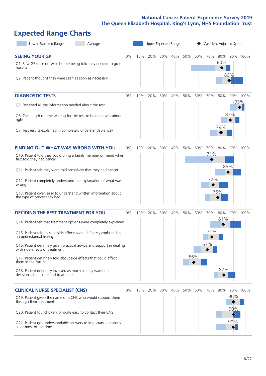# **Expected Range Charts**

| Lower Expected Range<br>Average                                                                                                                                                                                                                                                                                                                                                                                                                                                                                             |       |     | Upper Expected Range |     |     |     |            | Case Mix Adjusted Score |                   |                   |                 |
|-----------------------------------------------------------------------------------------------------------------------------------------------------------------------------------------------------------------------------------------------------------------------------------------------------------------------------------------------------------------------------------------------------------------------------------------------------------------------------------------------------------------------------|-------|-----|----------------------|-----|-----|-----|------------|-------------------------|-------------------|-------------------|-----------------|
| <b>SEEING YOUR GP</b><br>Q1. Saw GP once or twice before being told they needed to go to<br>hospital<br>Q2. Patient thought they were seen as soon as necessary                                                                                                                                                                                                                                                                                                                                                             | $0\%$ | 10% | 20%                  | 30% | 40% | 50% | 60%        | 70%                     | 80%<br>80%        | 86%               | 90% 100%        |
| <b>DIAGNOSTIC TESTS</b><br>Q5. Received all the information needed about the test<br>Q6. The length of time waiting for the test to be done was about<br>right<br>Q7. Test results explained in completely understandable way                                                                                                                                                                                                                                                                                               | 0%    | 10% | 20%                  | 30% | 40% | 50% | 60%        | 70%                     | 80%<br>79%        | 87%               | 90% 100%<br>95% |
| <b>FINDING OUT WHAT WAS WRONG WITH YOU</b><br>Q10. Patient told they could bring a family member or friend when<br>first told they had cancer<br>Q11. Patient felt they were told sensitively that they had cancer<br>Q12. Patient completely understood the explanation of what was<br>wrong<br>Q13. Patient given easy to understand written information about<br>the type of cancer they had                                                                                                                             | $0\%$ | 10% | 20%                  | 30% | 40% | 50% | 60%        | 70%<br>71%<br>72%       | 80%<br>76%        | 85%               | 90% 100%        |
| <b>DECIDING THE BEST TREATMENT FOR YOU</b><br>Q14. Patient felt that treatment options were completely explained<br>Q15. Patient felt possible side effects were definitely explained in<br>an understandable way<br>Q16. Patient definitely given practical advice and support in dealing<br>with side effects of treatment<br>Q17. Patient definitely told about side effects that could affect<br>them in the future<br>Q18. Patient definitely involved as much as they wanted in<br>decisions about care and treatment | $0\%$ | 10% | 20%                  | 30% | 40% | 50% | 60%<br>56% | 70%<br>71%<br>67%       | 80%<br>81%<br>82% |                   | 90% 100%        |
| <b>CLINICAL NURSE SPECIALIST (CNS)</b><br>Q19. Patient given the name of a CNS who would support them<br>through their treatment<br>Q20. Patient found it very or quite easy to contact their CNS<br>Q21. Patient got understandable answers to important questions<br>all or most of the time                                                                                                                                                                                                                              | $0\%$ | 10% | 20%                  | 30% | 40% | 50% | 60%        | 70%                     | 80%               | 90%<br>90%<br>90% | 90% 100%        |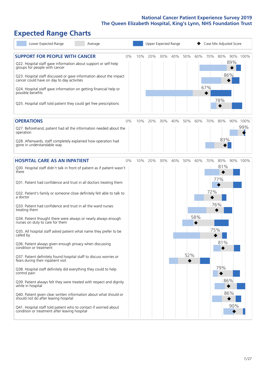# **Expected Range Charts**

| Lower Expected Range<br>Average                                                                                                                   |    |     |     |     | Upper Expected Range |     |     |     | Case Mix Adjusted Score |                 |  |
|---------------------------------------------------------------------------------------------------------------------------------------------------|----|-----|-----|-----|----------------------|-----|-----|-----|-------------------------|-----------------|--|
| <b>SUPPORT FOR PEOPLE WITH CANCER</b><br>Q22. Hospital staff gave information about support or self-help                                          | 0% | 10% | 20% | 30% | 40%                  | 50% | 60% | 70% | 80%                     | 90% 100%<br>89% |  |
| groups for people with cancer<br>Q23. Hospital staff discussed or gave information about the impact<br>cancer could have on day to day activities |    |     |     |     |                      |     |     |     | 86%                     |                 |  |
| Q24. Hospital staff gave information on getting financial help or<br>possible benefits                                                            |    |     |     |     |                      |     |     | 67% |                         |                 |  |
| Q25. Hospital staff told patient they could get free prescriptions                                                                                |    |     |     |     |                      |     |     |     | 78%                     |                 |  |
| <b>OPERATIONS</b>                                                                                                                                 | 0% | 10% | 20% | 30% | 40%                  | 50% | 60% | 70% | 80%                     | 90% 100%        |  |
| Q27. Beforehand, patient had all the information needed about the<br>operation                                                                    |    |     |     |     |                      |     |     |     |                         | 99%             |  |
| Q28. Afterwards, staff completely explained how operation had<br>gone in understandable way                                                       |    |     |     |     |                      |     |     |     | 83%                     |                 |  |
| <b>HOSPITAL CARE AS AN INPATIENT</b>                                                                                                              | 0% | 10% | 20% | 30% | 40%                  | 50% | 60% | 70% | 80%                     | 90% 100%        |  |
| Q30. Hospital staff didn't talk in front of patient as if patient wasn't<br>there                                                                 |    |     |     |     |                      |     |     |     | 81%                     |                 |  |
| Q31. Patient had confidence and trust in all doctors treating them                                                                                |    |     |     |     |                      |     |     |     | 77%                     |                 |  |
| Q32. Patient's family or someone close definitely felt able to talk to<br>a doctor                                                                |    |     |     |     |                      |     |     | 72% |                         |                 |  |
| Q33. Patient had confidence and trust in all the ward nurses<br>treating them                                                                     |    |     |     |     |                      |     |     |     | 76%                     |                 |  |
| Q34. Patient thought there were always or nearly always enough<br>nurses on duty to care for them                                                 |    |     |     |     |                      |     | 58% |     |                         |                 |  |
| Q35. All hospital staff asked patient what name they prefer to be<br>called by                                                                    |    |     |     |     |                      |     |     | 75% |                         |                 |  |
| Q36. Patient always given enough privacy when discussing<br>condition or treatment                                                                |    |     |     |     |                      |     |     |     | 81%                     |                 |  |
| Q37. Patient definitely found hospital staff to discuss worries or<br>fears during their inpatient visit                                          |    |     |     |     |                      | 52% |     |     |                         |                 |  |
| Q38. Hospital staff definitely did everything they could to help<br>control pain                                                                  |    |     |     |     |                      |     |     |     | 79%                     |                 |  |
| Q39. Patient always felt they were treated with respect and dignity<br>while in hospital                                                          |    |     |     |     |                      |     |     |     | 86%                     |                 |  |
| Q40. Patient given clear written information about what should or<br>should not do after leaving hospital                                         |    |     |     |     |                      |     |     |     | 86%                     |                 |  |
| Q41. Hospital staff told patient who to contact if worried about<br>condition or treatment after leaving hospital                                 |    |     |     |     |                      |     |     |     |                         | 90%             |  |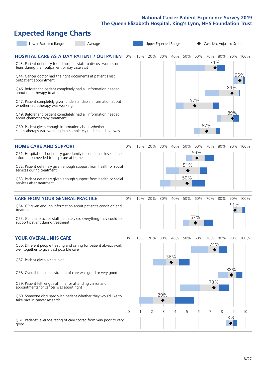# **Expected Range Charts**

| Lower Expected Range<br>Average                                                                                                                                                                                                                                                                                                                                                                                                                                                                                                                                                                                                                                                                        |       |     |     | Upper Expected Range |            |                   |            | Case Mix Adjusted Score |                |            |                 |
|--------------------------------------------------------------------------------------------------------------------------------------------------------------------------------------------------------------------------------------------------------------------------------------------------------------------------------------------------------------------------------------------------------------------------------------------------------------------------------------------------------------------------------------------------------------------------------------------------------------------------------------------------------------------------------------------------------|-------|-----|-----|----------------------|------------|-------------------|------------|-------------------------|----------------|------------|-----------------|
| <b>HOSPITAL CARE AS A DAY PATIENT / OUTPATIENT 0%</b><br>Q43. Patient definitely found hospital staff to discuss worries or<br>fears during their outpatient or day case visit<br>Q44. Cancer doctor had the right documents at patient's last<br>outpatient appointment<br>Q46. Beforehand patient completely had all information needed<br>about radiotherapy treatment<br>Q47. Patient completely given understandable information about<br>whether radiotherapy was working<br>Q49. Beforehand patient completely had all information needed<br>about chemotherapy treatment<br>Q50. Patient given enough information about whether<br>chemotherapy was working in a completely understandable way |       | 10% | 20% | 30%                  | 40%        | 50%               | 60%<br>57% | 67%                     | 70% 80%<br>74% | 89%<br>89% | 90% 100%<br>95% |
| <b>HOME CARE AND SUPPORT</b><br>Q51. Hospital staff definitely gave family or someone close all the<br>information needed to help care at home<br>Q52. Patient definitely given enough support from health or social<br>services during treatment<br>Q53. Patient definitely given enough support from health or social<br>services after treatment                                                                                                                                                                                                                                                                                                                                                    | 0%    | 10% | 20% | 30%                  | 40%        | 50%<br>51%<br>50% | 60%<br>59% | 70%                     | 80%            |            | 90% 100%        |
| <b>CARE FROM YOUR GENERAL PRACTICE</b><br>Q54. GP given enough information about patient's condition and<br>treatment<br>Q55. General practice staff definitely did everything they could to<br>support patient during treatment                                                                                                                                                                                                                                                                                                                                                                                                                                                                       | 0%    | 10% | 20% | 30%                  | 40%        | 50%               | 60%<br>57% | 70%                     | 80%            | 91%        | 90% 100%        |
| <b>YOUR OVERALL NHS CARE</b><br>Q56. Different people treating and caring for patient always work<br>well together to give best possible care<br>Q57. Patient given a care plan<br>Q58. Overall the administration of care was good or very good<br>Q59. Patient felt length of time for attending clinics and<br>appointments for cancer was about right<br>Q60. Someone discussed with patient whether they would like to<br>take part in cancer research                                                                                                                                                                                                                                            | $0\%$ | 10% | 20% | 30%<br>29%           | 40%<br>36% | 50%               | 60%        | 70%<br>74%<br>73%       | 80%            | 88%        | 90% 100%        |
| Q61. Patient's average rating of care scored from very poor to very<br>good                                                                                                                                                                                                                                                                                                                                                                                                                                                                                                                                                                                                                            | 0     |     | 2   | 3                    | 4          | 5                 | 6          | 7                       | 8              | 9<br>8.8   | 10              |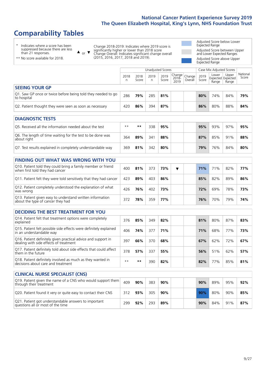# **Comparability Tables**

\* Indicates where a score has been suppressed because there are less than 21 responses.

\*\* No score available for 2018.

or  $\blacktriangledown$  $\blacktriangle$ 

Change 2018-2019: Indicates where 2019 score is significantly higher or lower than 2018 score Change Overall: Indicates significant change overall (2015, 2016, 2017, 2018 and 2019).

Adjusted Score below Lower Expected Range Adjusted Score between Upper and Lower Expected Ranges Adjusted Score above Upper Expected Range

Unadjusted Scores **Case Mix Adjusted Scores** 2018 n 2018 **Score** 2019 n 2019 **Score** Change 2018- 2019 Change Overall 2019 **Score** Lower Expected Range Upper Expected Range National Score **SEEING YOUR GP** Q1. Saw GP once or twice before being told they needed to go  $\begin{array}{|c|c|c|c|c|c|}\hline \textbf{286} & \textbf{79\%} & \textbf{285} & \textbf{81\%} & \textbf{30\%} & \textbf{74\%} & \textbf{84\%} & \textbf{79\%} \hline \end{array}$ Q2. Patient thought they were seen as soon as necessary 420 **86%** 394 **87% 86%** 80% 88% **84%**

| <b>DIAGNOSTIC TESTS</b>                                                   |      |     |     |     |     |     |     |     |
|---------------------------------------------------------------------------|------|-----|-----|-----|-----|-----|-----|-----|
| Q5. Received all the information needed about the test                    | $**$ | **  | 338 | 95% | 95% | 93% | 97% | 95% |
| Q6. The length of time waiting for the test to be done was<br>about right | 364  | 89% | 341 | 88% | 87% | 85% | 91% | 88% |
| Q7. Test results explained in completely understandable way               | 369  | 81% | 342 | 80% | 79% | 76% | 84% | 80% |

| <b>FINDING OUT WHAT WAS WRONG WITH YOU</b>                                                      |     |     |     |     |  |     |     |     |     |
|-------------------------------------------------------------------------------------------------|-----|-----|-----|-----|--|-----|-----|-----|-----|
| Q10. Patient told they could bring a family member or friend<br>when first told they had cancer | 400 | 81% | 373 | 73% |  | 71% | 71% | 82% | 77% |
| Q11. Patient felt they were told sensitively that they had cancer                               | 423 | 89% | 403 | 86% |  | 85% | 82% | 89% | 86% |
| Q12. Patient completely understood the explanation of what<br>was wrong                         | 426 | 76% | 402 | 73% |  | 72% | 69% | 78% | 73% |
| Q13. Patient given easy to understand written information<br>about the type of cancer they had  | 372 | 78% | 359 | 77% |  | 76% | 70% | 79% | 74% |

| <b>DECIDING THE BEST TREATMENT FOR YOU</b>                                                              |      |     |     |     |  |     |     |     |     |
|---------------------------------------------------------------------------------------------------------|------|-----|-----|-----|--|-----|-----|-----|-----|
| Q14. Patient felt that treatment options were completely<br>explained                                   | 376  | 85% | 349 | 82% |  | 81% | 80% | 87% | 83% |
| Q15. Patient felt possible side effects were definitely explained<br>in an understandable way           | 406  | 74% | 377 | 71% |  | 71% | 68% | 77% | 73% |
| Q16. Patient definitely given practical advice and support in<br>dealing with side effects of treatment | 397  | 66% | 370 | 68% |  | 67% | 62% | 72% | 67% |
| Q17. Patient definitely told about side effects that could affect<br>them in the future                 | 378  | 57% | 337 | 55% |  | 56% | 51% | 62% | 57% |
| Q18. Patient definitely involved as much as they wanted in<br>decisions about care and treatment        | $**$ | **  | 390 | 82% |  | 82% | 77% | 85% | 81% |

| <b>CLINICAL NURSE SPECIALIST (CNS)</b>                                                    |     |     |     |     |  |     |     |     |     |
|-------------------------------------------------------------------------------------------|-----|-----|-----|-----|--|-----|-----|-----|-----|
| Q19. Patient given the name of a CNS who would support them<br>through their treatment    | 409 | 90% | 383 | 90% |  | 90% | 89% | 95% | 92% |
| Q20. Patient found it very or quite easy to contact their CNS                             | 312 | 93% | 305 | 90% |  | 90% | 80% | 90% | 85% |
| Q21. Patient got understandable answers to important<br>questions all or most of the time | 299 | 92% | 293 | 89% |  | 90% | 84% | 91% | 87% |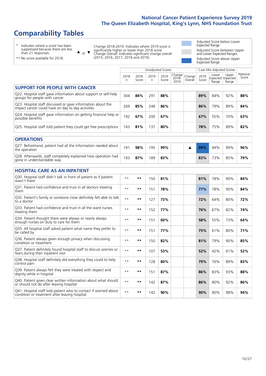# **Comparability Tables**

\* Indicates where a score has been suppressed because there are less than 21 responses.

\*\* No score available for 2018.

 $\triangle$  or  $\nabla$ 

Change 2018-2019: Indicates where 2019 score is significantly higher or lower than 2018 score Change Overall: Indicates significant change overall (2015, 2016, 2017, 2018 and 2019).

Adjusted Score below Lower Expected Range Adjusted Score between Upper and Lower Expected Ranges Adjusted Score above Upper Expected Range

|                                                                                                                   |           |               |           | <b>Unadjusted Scores</b> |                         |                   |               | Case Mix Adjusted Scores |                                     |                   |
|-------------------------------------------------------------------------------------------------------------------|-----------|---------------|-----------|--------------------------|-------------------------|-------------------|---------------|--------------------------|-------------------------------------|-------------------|
|                                                                                                                   | 2018<br>n | 2018<br>Score | 2019<br>n | 2019<br>Score            | Change<br>2018-<br>2019 | Change<br>Overall | 2019<br>Score | Lower<br>Range           | Upper<br>Expected Expected<br>Range | National<br>Score |
| <b>SUPPORT FOR PEOPLE WITH CANCER</b>                                                                             |           |               |           |                          |                         |                   |               |                          |                                     |                   |
| Q22. Hospital staff gave information about support or self-help<br>groups for people with cancer                  | 304       | 84%           | 291       | 88%                      |                         |                   | 89%           | 84%                      | 92%                                 | 88%               |
| Q23. Hospital staff discussed or gave information about the<br>impact cancer could have on day to day activities  | 269       | 85%           | 248       | 86%                      |                         |                   | 86%           | 79%                      | 89%                                 | 84%               |
| Q24. Hospital staff gave information on getting financial help or<br>possible benefits                            | 192       | 67%           | 200       | 67%                      |                         |                   | 67%           | 55%                      | 70%                                 | 63%               |
| Q25. Hospital staff told patient they could get free prescriptions                                                | 143       | 81%           | 137       | 80%                      |                         |                   | 78%           | 75%                      | 89%                                 | 82%               |
| <b>OPERATIONS</b>                                                                                                 |           |               |           |                          |                         |                   |               |                          |                                     |                   |
| Q27. Beforehand, patient had all the information needed about<br>the operation                                    | 191       | 98%           | 195       | 99%                      |                         | ▲                 | 99%           | 94%                      | 99%                                 | 96%               |
| Q28. Afterwards, staff completely explained how operation had<br>gone in understandable way                       | 193       | 87%           | 189       | 83%                      |                         |                   | 83%           | 73%                      | 85%                                 | 79%               |
| <b>HOSPITAL CARE AS AN INPATIENT</b>                                                                              |           |               |           |                          |                         |                   |               |                          |                                     |                   |
| Q30. Hospital staff didn't talk in front of patient as if patient<br>wasn't there                                 | $* *$     | $***$         | 150       | 81%                      |                         |                   | 81%           | 78%                      | 90%                                 | 84%               |
| Q31. Patient had confidence and trust in all doctors treating<br>them                                             | $* *$     | $***$         | 151       | 78%                      |                         |                   | 77%           | 78%                      | 90%                                 | 84%               |
| Q32. Patient's family or someone close definitely felt able to talk<br>to a doctor                                | $* *$     | $***$         | 127       | 73%                      |                         |                   | 72%           | 64%                      | 80%                                 | 72%               |
| O33. Patient had confidence and trust in all the ward nurses<br>treating them                                     | $**$      | $***$         | 152       | 77%                      |                         |                   | 76%           | 67%                      | 82%                                 | 74%               |
| Q34. Patient thought there were always or nearly always<br>enough nurses on duty to care for them                 | $**$      | $***$         | 151       | 60%                      |                         |                   | 58%           | 55%                      | 73%                                 | 64%               |
| Q35. All hospital staff asked patient what name they prefer to<br>be called by                                    | $* *$     | $***$         | 151       | 77%                      |                         |                   | 75%           | 61%                      | 80%                                 | 71%               |
| Q36. Patient always given enough privacy when discussing<br>condition or treatment                                | $* *$     | $***$         | 150       | 82%                      |                         |                   | 81%           | 79%                      | 90%                                 | 85%               |
| Q37. Patient definitely found hospital staff to discuss worries or<br>fears during their inpatient visit          | $* *$     | $***$         | 107       | 53%                      |                         |                   | 52%           | 42%                      | 61%                                 | 52%               |
| Q38. Hospital staff definitely did everything they could to help<br>control pain                                  | $* *$     | $***$         | 128       | 80%                      |                         |                   | 79%           | 76%                      | 89%                                 | 83%               |
| Q39. Patient always felt they were treated with respect and<br>dignity while in hospital                          | $* *$     | $***$         | 151       | 87%                      |                         |                   | 86%           | 83%                      | 93%                                 | 88%               |
| Q40. Patient given clear written information about what should<br>or should not do after leaving hospital         | $* *$     | $***$         | 142       | 87%                      |                         |                   | 86%           | 80%                      | 92%                                 | 86%               |
| Q41. Hospital staff told patient who to contact if worried about<br>condition or treatment after leaving hospital | $**$      | $***$         | 142       | 90%                      |                         |                   | 90%           | 90%                      | 98%                                 | 94%               |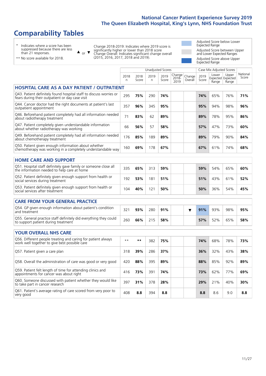# **Comparability Tables**

\* Indicates where a score has been suppressed because there are less than 21 responses.

\*\* No score available for 2018.

 $\triangle$  or  $\nabla$ 

Change 2018-2019: Indicates where 2019 score is significantly higher or lower than 2018 score Change Overall: Indicates significant change overall (2015, 2016, 2017, 2018 and 2019).

Adjusted Score below Lower Expected Range Adjusted Score between Upper and Lower Expected Ranges Adjusted Score above Upper Expected Range

|                                                                                                                       |              |               | Unadjusted Scores |               |                            |                   |               | Case Mix Adjusted Scores            |                |                   |
|-----------------------------------------------------------------------------------------------------------------------|--------------|---------------|-------------------|---------------|----------------------------|-------------------|---------------|-------------------------------------|----------------|-------------------|
|                                                                                                                       | 2018<br>n    | 2018<br>Score | 2019<br>n         | 2019<br>Score | Change<br>$2018 -$<br>2019 | Change<br>Overall | 2019<br>Score | Lower<br>Expected Expected<br>Range | Upper<br>Range | National<br>Score |
| <b>HOSPITAL CARE AS A DAY PATIENT / OUTPATIENT</b>                                                                    |              |               |                   |               |                            |                   |               |                                     |                |                   |
| Q43. Patient definitely found hospital staff to discuss worries or<br>fears during their outpatient or day case visit | 295          | 75%           | 290               | 74%           |                            |                   | 74%           | 65%                                 | 76%            | 71%               |
| Q44. Cancer doctor had the right documents at patient's last<br>outpatient appointment                                | 357          | 96%           | 345               | 95%           |                            |                   | 95%           | 94%                                 | 98%            | 96%               |
| Q46. Beforehand patient completely had all information needed<br>about radiotherapy treatment                         | 71           | 83%           | 62                | 89%           |                            |                   | 89%           | 78%                                 | 95%            | 86%               |
| Q47. Patient completely given understandable information<br>about whether radiotherapy was working                    | 66           | 56%           | 57                | 58%           |                            |                   | 57%           | 47%                                 | 73%            | 60%               |
| Q49. Beforehand patient completely had all information needed<br>about chemotherapy treatment                         | 176          | 85%           | 189               | 89%           |                            |                   | 89%           | 79%                                 | 90%            | 84%               |
| Q50. Patient given enough information about whether<br>chemotherapy was working in a completely understandable way    | 160          | 69%           | 178               | 67%           |                            |                   | 67%           | 61%                                 | 74%            | 68%               |
| <b>HOME CARE AND SUPPORT</b>                                                                                          |              |               |                   |               |                            |                   |               |                                     |                |                   |
| Q51. Hospital staff definitely gave family or someone close all<br>the information needed to help care at home        | 335          | 65%           | 313               | 59%           |                            |                   | 59%           | 54%                                 | 65%            | 60%               |
| Q52. Patient definitely given enough support from health or<br>social services during treatment                       | 192          | 53%           | 181               | 51%           |                            |                   | 51%           | 43%                                 | 61%            | 52%               |
| Q53. Patient definitely given enough support from health or<br>social services after treatment                        | 104          | 40%           | 121               | 50%           |                            |                   | 50%           | 36%                                 | 54%            | 45%               |
| <b>CARE FROM YOUR GENERAL PRACTICE</b>                                                                                |              |               |                   |               |                            |                   |               |                                     |                |                   |
| Q54. GP given enough information about patient's condition<br>and treatment                                           | 321          | 93%           | 280               | 91%           |                            | ▼                 | 91%           | 93%                                 | 98%            | 95%               |
| Q55. General practice staff definitely did everything they could<br>to support patient during treatment               | 260          | 66%           | 215               | 58%           |                            |                   | 57%           | 52%                                 | 65%            | 58%               |
| <b>YOUR OVERALL NHS CARE</b>                                                                                          |              |               |                   |               |                            |                   |               |                                     |                |                   |
| Q56. Different people treating and caring for patient always                                                          |              |               |                   |               |                            |                   |               |                                     |                |                   |
| work well together to give best possible care                                                                         | $\star\star$ | $***$         | 382               | 75%           |                            |                   | 74%           | 68%                                 | 78%            | 73%               |
| Q57. Patient given a care plan                                                                                        | 318          | 39%           | 286               | 37%           |                            |                   | 36%           | 32%                                 | 43%            | 38%               |
| Q58. Overall the administration of care was good or very good                                                         | 420          | 88%           | 395               | 89%           |                            |                   | 88%           | 85%                                 | 92%            | 89%               |
| Q59. Patient felt length of time for attending clinics and<br>appointments for cancer was about right                 | 416          | 73%           | 391               | 74%           |                            |                   | 73%           | 62%                                 | 77%            | 69%               |
| Q60. Someone discussed with patient whether they would like<br>to take part in cancer research                        | 397          | 31%           | 378               | 28%           |                            |                   | 29%           | 21%                                 | 40%            | 30%               |
| Q61. Patient's average rating of care scored from very poor to<br>very good                                           | 408          | 8.8           | 394               | 8.8           |                            |                   | 8.8           | 8.6                                 | 9.0            | 8.8               |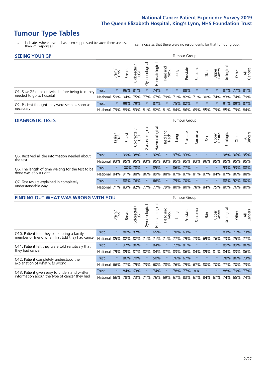# **Tumour Type Tables**

- \* Indicates where a score has been suppressed because there are less than 21 responses.
- n.a. Indicates that there were no respondents for that tumour group.

| <b>SEEING YOUR GP</b>                           |          |         |               |                   |                |                |                  |         | Tumour Group |         |         |                 |                                                           |             |                |
|-------------------------------------------------|----------|---------|---------------|-------------------|----------------|----------------|------------------|---------|--------------|---------|---------|-----------------|-----------------------------------------------------------|-------------|----------------|
|                                                 |          | Brain   | <b>Breast</b> | Colorectal<br>LGT | Gynaecological | Haematological | Head and<br>Neck | Lung    | Prostate     | Sarcoma | Skin    | Upper<br>Gastro | Urological                                                | Other       | All<br>Cancers |
| Q1. Saw GP once or twice before being told they | Trust    | $\star$ |               | 96% 81%           |                | 74%            | $\star$          | $\star$ | 88%          | $\star$ | $\star$ | $\star$         |                                                           | 87% 77% 81% |                |
| needed to go to hospital                        | National | 59%     |               | 94% 75% 77%       |                |                |                  |         |              |         |         |                 | 67%   79%   71%   82%   71%   90%   74%   83%   74%   79% |             |                |
| Q2. Patient thought they were seen as soon as   | Trust    | $\star$ | 99%           | 79%               | $\star$        | 87%            | $\star$          |         | 75% 82%      | $\star$ | $\star$ | $\star$         |                                                           | 91% 89% 87% |                |
| necessary                                       | National | 79%     |               |                   |                |                |                  |         |              |         |         |                 | 89% 83% 81% 82% 81% 84% 86% 69% 85% 79% 85% 79% 84%       |             |                |

#### **DIAGNOSTIC TESTS** Tumour Group

|                                                   |              | Brain   | <b>Breast</b>                           | olorectal.<br>LGT<br>Ü | Gynaecological | Haematological | Head and<br>Neck | Lung    | Prostate | Sarcoma | Skin    | Upper<br>Gastro | Irological                                  | Other       | All<br>Cancers |
|---------------------------------------------------|--------------|---------|-----------------------------------------|------------------------|----------------|----------------|------------------|---------|----------|---------|---------|-----------------|---------------------------------------------|-------------|----------------|
| Q5. Received all the information needed about     | Trust        | $\star$ |                                         | 99% 98%                |                | 92%            | $\star$          |         | 97% 93%  |         | $\star$ | $\star$         |                                             | 98% 96% 95% |                |
| $\vert$ the test                                  | National     | 93%     | 95%                                     | 95%                    | 93%            | 95%            |                  | 93% 95% | 95%      | 93%     | 96%     | 95%             | 95%                                         | 95%         | 95%            |
| Q6. The length of time waiting for the test to be | Trust        | $\star$ | 100% 78%                                |                        | $\star$        | 85%            | $\star$          |         | 86% 77%  |         | $\star$ | $\star$         |                                             | 93% 93% 88% |                |
| done was about right                              | National     |         | 84%   91%   88%                         |                        |                |                |                  |         |          |         |         |                 | 86% 89% 88% 87% 87% 81% 87% 84% 87% 86% 88% |             |                |
| Q7. Test results explained in completely          | Trust        | $\star$ | 88%                                     | 76%                    | $\star$        | 66%            | $\star$          |         | 79% 70%  | $\star$ | $\star$ | $\star$         |                                             | 88% 92% 80% |                |
| understandable way                                | National 71% |         | 83%   82%   77%   77%   79%   80%   80% |                        |                |                |                  |         |          |         |         |                 | 78% 84% 75% 80% 76% 80%                     |             |                |

| <b>FINDING OUT WHAT WAS WRONG WITH YOU</b>        |              |         |               |                        |                |                |                  |                 | Tumour Group |          |         |                 |            |             |                |
|---------------------------------------------------|--------------|---------|---------------|------------------------|----------------|----------------|------------------|-----------------|--------------|----------|---------|-----------------|------------|-------------|----------------|
|                                                   |              | Brain   | <b>Breast</b> | olorectal.<br>LGT<br>Ū | Gynaecological | Haematological | Head and<br>Neck | Lung            | Prostate     | Sarcoma  | Skin    | Upper<br>Gastro | Urological | Other       | All<br>Cancers |
| Q10. Patient told they could bring a family       | <b>Trust</b> | $\star$ | 80%           | 82%                    |                | 65%            | $\ast$           | 70%             | 63%          | $\star$  | $\star$ | $\star$         |            | 83% 71% 73% |                |
| member or friend when first told they had cancer  | National     | 85%     | 82%           | 82%                    | 71%            | 71%            | 71%              | 77%             | 79%          | 73%      | 69%     | 76%             | 73%        | 75%         | 77%            |
| Q11. Patient felt they were told sensitively that | Trust        | $\star$ | 97%           | 86%                    |                | 84%            | $\star$          |                 | 72% 81%      | $^\star$ | $\star$ | $\star$         | 89%        | 89%         | 86%            |
| they had cancer                                   | National     | 79%     | 89% 87%       |                        | 82%            |                | 84% 87%          | 83% 86%         |              | 84%      | 89%     | 81%             |            | 84% 83% 86% |                |
| Q12. Patient completely understood the            | Trust        | $\star$ | 86%           | 70%                    |                | 50%            | $\ast$           |                 | 76% 67%      | $\star$  | $\star$ |                 |            | 78% 86% 73% |                |
| explanation of what was wrong                     | National     | 66%     | 77%           | 79%                    | 73%            | 60%            | 78%              |                 | 76% 79%      | 67%      | 80%     | 70%             | 77%        |             | 70% 73%        |
| Q13. Patient given easy to understand written     | Trust        | $\star$ | 84%           | 63%                    | $\star$        | 74%            | $\star$          |                 | 78% 77%      | n.a.     | $\star$ | $\star$         |            | 88% 79%     | 77%            |
| information about the type of cancer they had     | National     | 66%     | 78%           | 73%                    | 71%            | 76%            |                  | 69%   67%   83% |              | 67%      | 84%     | 67%             | 74%        | 65%         | 74%            |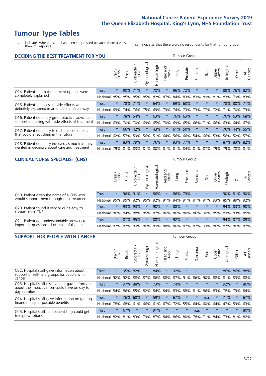# **Tumour Type Tables**

\* Indicates where a score has been suppressed because there are less than 21 responses.

n.a. Indicates that there were no respondents for that tumour group.

| <b>DECIDING THE BEST TREATMENT FOR YOU</b>         |              |         |               |                       |                |                |                        |      | <b>Tumour Group</b> |                                     |         |                 |            |             |                |
|----------------------------------------------------|--------------|---------|---------------|-----------------------|----------------|----------------|------------------------|------|---------------------|-------------------------------------|---------|-----------------|------------|-------------|----------------|
|                                                    |              | Brain   | <b>Breast</b> | olorectal<br>LGT<br>Ũ | Gynaecological | Haematological | ad and<br>Neck<br>Head | Lung | Prostate            | Sarcoma                             | Skin    | Upper<br>Gastro | Jrological | Other       | All<br>Cancers |
| Q14. Patient felt that treatment options were      | <b>Trust</b> | $\star$ | 90%           | 71%                   | $\star$        | 70%            | $\star$                | 96%  | 72%                 | $\star$                             | $\star$ | $\star$         | 88%        | $ 76\% $    | 82%            |
| completely explained                               | National     | 85%     | 85%           | 85%                   | 85%            | 82%            | 87%                    |      | 84% 83%             | 83%                                 | 89%     | 81%             | 83%        | 79% 83%     |                |
| Q15. Patient felt possible side effects were       | Trust        | $\star$ | 78%           | 71%                   |                | 64%            | $\star$                |      | 69% 60%             | $\star$                             | $\star$ | $\star$         |            | 78% 80%     | 171%           |
| definitely explained in an understandable way      | National     | 69%     | 74%           | 76%                   | 75%            | 69%            | 73%                    |      | 74% 73%             | 73%                                 | 77%     | 72%             | 71%        | 70%         | 73%            |
| Q16. Patient definitely given practical advice and | Trust        | $\star$ | 78%           | 54%                   |                | 63%            | $\ast$                 |      | 76% 63%             | $\star$                             | $\star$ | $\star$         |            | 76% 63%     | 68%            |
| support in dealing with side effects of treatment  | National     | 63%     | 70%           | 70%                   | 69%            | 65%            | 70%                    |      | 69% 65%             | 66%                                 | 71%     | 66%             | 63%        | 64%         | 67%            |
| Q17. Patient definitely told about side effects    | Trust        | $\star$ | 66%           | 42%                   |                | 43%            | $\star$                | 61%  | 50%                 | $\star$                             | $\star$ | $\star$         |            | 76% 44%     | 55%            |
| that could affect them in the future               | National     | 62%     | 57%           | 59%                   | 56%            | 51%            | 64%                    |      | 56% 66%             | 54%                                 | 66%     | 53%             | 56%        | 52%         | 57%            |
| Q18. Patient definitely involved as much as they   | Trust        | $\star$ | 83%           | 79%                   | $\star$        | 76%            | $\star$                |      | 93% 77%             | $^\star$                            | $\star$ | $\star$         |            | 87% 83% 82% |                |
| wanted in decisions about care and treatment       | National     | 79%     |               |                       |                |                |                        |      |                     | 81% 83% 81% 80% 81% 81% 84% 81% 87% |         | 79%             |            | 79% 78% 81% |                |

#### **CLINICAL NURSE SPECIALIST (CNS)** Tumour Group

|                                             |              | Brain   | <b>Breast</b>   | Colorectal<br>LGT | Gynaecologica | aematological | Head and<br>Neck | Lung    | Prostate | Sarcoma | Skin    | Upper<br>Gastro                               | rological | Other       | All<br>Cancers |
|---------------------------------------------|--------------|---------|-----------------|-------------------|---------------|---------------|------------------|---------|----------|---------|---------|-----------------------------------------------|-----------|-------------|----------------|
| Q19. Patient given the name of a CNS who    | <b>Trust</b> | $\star$ |                 | 96% 91%           |               | 86%           | $\star$          | 86% 79% |          | $\star$ | $\star$ |                                               |           | 90% 81% 90% |                |
| would support them through their treatment  | National     | 95%     | 95%             | 92%               | 95%           | 92%           | 91%              | 94% 91% |          | 91%     | 91%     | 93%                                           | 85%       | 89%         | 92%            |
| Q20. Patient found it very or quite easy to | Trust        | $\star$ |                 | 93% 93%           |               | 90%           | $^\star$         | 88%     | $\star$  | $\star$ | $\star$ | $\star$                                       |           | 94% 83%     | 90%            |
| contact their CNS                           | National     |         | 86% 84% 88% 85% |                   |               | 87%           | 86%              | 86% 80% |          |         |         | 86% 90% 85%                                   |           | 83% 83%     | 85%            |
| Q21. Patient got understandable answers to  | Trust        | $\star$ |                 | 87% 95%           |               | 88%           | $\star$          | 92%     | $\star$  | $\star$ | $\star$ | $\star$                                       |           | 94% 87%     | 89%            |
| important questions all or most of the time | National     |         | 82% 87% 89% 86% |                   |               |               |                  |         |          |         |         | 89%   88%   86%   87%   87%   93%   86%   87% |           | 86%         | 87%            |

| <b>SUPPORT FOR PEOPLE WITH CANCER</b>                                                             |          |         |               |            |                |                |                         |             | Tumour Group |                  |         |                 |            |         |                |
|---------------------------------------------------------------------------------------------------|----------|---------|---------------|------------|----------------|----------------|-------------------------|-------------|--------------|------------------|---------|-----------------|------------|---------|----------------|
|                                                                                                   |          | Brain   | <b>Breast</b> | Colorectal | Gynaecological | Haematological | ead and<br>Neck<br>Head | <b>Dung</b> | Prostate     | arcoma<br>$\sim$ | Skin    | Upper<br>Gastro | Jrological | Other   | All<br>Cancers |
| Q22. Hospital staff gave information about<br>support or self-help groups for people with         | Trust    | $\star$ | 95%           | 82%        | $\star$        | 84%            | $\star$                 | 92%         | $\star$      | $\star$          | $\star$ | $\star$         |            | 86% 86% | 88%            |
| cancer                                                                                            | National | 92%     | 92%           | 88%        | 87%            | 86%            | 88%                     | 87%         | 91%          | 86%              | 90%     | 88%             | 81%        | 83%     | 88%            |
| Q23. Hospital staff discussed or gave information<br>about the impact cancer could have on day to | Trust    | $\star$ | 97%           | 88%        | $\star$        | 73%            | $\star$                 | 74%         | $\star$      | $\star$          | $\star$ | $\star$         | 92%        | $\star$ | 86%            |
| day activities                                                                                    | National | 84%     | 86%           | 85%        | 82%            | 84%            | 84%                     | 83%         | 88%          | 81%              | 86%     | 83%             | 78%        | 79%     | 84%            |
| Q24. Hospital staff gave information on getting                                                   | Trust    | $\star$ | 76%           | 68%        | $\star$        | 59%            | $\ast$                  | 67%         | $\star$      | 头                | n.a.    | $\star$         | 71%        | $\star$ | 67%            |
| financial help or possible benefits                                                               | National | 78%     | 68%           | 61%        | 66%            | 61%            | 67%                     | 72%         | 55%          | 64%              | 60%     | 64%             | 47%        | 59%     | 63%            |
| Q25. Hospital staff told patient they could get                                                   | Trust    | $\star$ | 67%           | $\star$    | $\star$        | 91%            | $\star$                 | $\star$     | $\star$      | n.a.             | $\star$ | $\star$         | $\star$    | $\star$ | 80%            |
| free prescriptions                                                                                | National | 82%     |               | 81% 83%    | 79%            | 87%            |                         | 84% 86% 80% |              | 78%              | 71%     | 84%             | 73%        | 81%     | 82%            |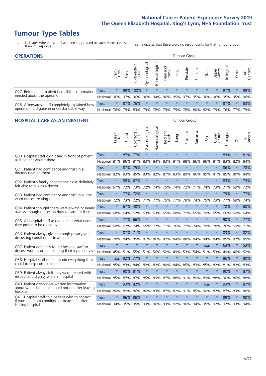# **Tumour Type Tables**

\* Indicates where a score has been suppressed because there are less than 21 responses.

n.a. Indicates that there were no respondents for that tumour group.

| <b>OPERATIONS</b>                                |              |              |               |                 |                |                |                             |         | Tumour Group |         |         |                 |                                  |           |                |
|--------------------------------------------------|--------------|--------------|---------------|-----------------|----------------|----------------|-----------------------------|---------|--------------|---------|---------|-----------------|----------------------------------|-----------|----------------|
|                                                  |              | Brain<br>CNS | <b>Breast</b> | ╮<br>Colorectal | Gynaecological | Haematological | Head and<br>Neck            | Lung    | Prostate     | Sarcoma | Skin    | Upper<br>Gastro | $\overline{\sigma}$<br>Jrologica | Other     | All<br>Cancers |
| Q27. Beforehand, patient had all the information | <b>Trust</b> | $\star$      |               | 99% 100%        | $\star$        | $\star$        | $\star$                     | $\star$ | $\star$      | $\star$ | $\star$ | $\star$         | 97%                              | $\star$   | 99%            |
| needed about the operation                       | National     | 96%          | 97%           | 96%             | 96%            | 94%            | 96% 95% 97% 95% 96%         |         |              |         |         | 96%             |                                  | 95% 95%   | 96%            |
| Q28. Afterwards, staff completely explained how  | <b>Trust</b> | $\star$      |               | 87% 76%         | $\star$        | $\star$        | $\star$                     | $\star$ | $\star$      | $\star$ | $\star$ | $\star$         | 87%                              | $\star$   | 83%            |
| operation had gone in understandable way         | National     | 76%          |               | 79% 83%         | 79%            |                | 78% 79% 79% 78% 80% 82% 79% |         |              |         |         |                 |                                  | 76%   77% | 79%            |

### **HOSPITAL CARE AS AN INPATIENT** Tumour Group

|                                                                                                  |              | Brain<br>CNS | Breast  | Colorectal /<br>LGT | Gynaecological | Haematological | ead and<br>Neck<br>Head | Lung                    | Prostate | Sarcoma | Skin    | Upper<br>Gastro | Urological | Other   | All<br>Cancers |
|--------------------------------------------------------------------------------------------------|--------------|--------------|---------|---------------------|----------------|----------------|-------------------------|-------------------------|----------|---------|---------|-----------------|------------|---------|----------------|
| Q30. Hospital staff didn't talk in front of patient                                              | <b>Trust</b> | $\star$      | 87%     | 77%                 | $\star$        | $\star$        | $\star$                 | $\star$                 | $\star$  | $\star$ | $\star$ | $\star$         | 83%        | $\star$ | 81%            |
| as if patient wasn't there                                                                       | National     | 81%          |         | 86% 81%             | 83%            | 84%            |                         | 83% 81%                 | 88%      | 86%     | 86%     | 81%             | 83%        | 82%     | 84%            |
| Q31. Patient had confidence and trust in all                                                     | Trust        | $\star$      | 87% 75% |                     | $\star$        | $\star$        | $\star$                 | $\star$                 | $\star$  | $\star$ | $\star$ |                 | 86%        | $\star$ | 78%            |
| doctors treating them                                                                            | National     | 82%          | 83%     | 85%                 | 83%            | 82%            |                         | 87% 83%                 | 89%      | 86%     | 85%     | 81%             | 85%        | 80%     | 84%            |
| Q32. Patient's family or someone close definitely                                                | <b>Trust</b> | $\star$      | 88% 67% |                     | $\star$        | $\star$        | $\star$                 | $\star$                 | $\star$  | $\star$ | $\star$ | $\star$         | 83%        | $\star$ | 73%            |
| felt able to talk to a doctor                                                                    | National     | 67%          | 72%     | 73%                 | 72%            | 74%            |                         | 75% 74%                 | 72%      | 71%     | 74%     | 73%             | 71%        | 69%     | 72%            |
| O33. Patient had confidence and trust in all the                                                 | Trust        | $\star$      | 77%     | 72%                 | $\star$        | $\star$        | $\star$                 | $\star$                 | $\star$  | $\star$ | $\star$ | $\star$         | 79%        | $\star$ | 77%            |
| ward nurses treating them                                                                        | National     | 72%          | 73%     | 72%                 | 71%            | 77%            | 75%                     | 77%                     | 79%      | 74%     | 75%     | 73%             | 77%        | 69%     | 74%            |
| Q34. Patient thought there were always or nearly                                                 | <b>Trust</b> | $\star$      | 67%     | 48%                 | $\star$        | $\star$        | $\star$                 | $\star$                 | $\star$  | $\star$ | $\star$ | $\star$         | 72%        | $\star$ | 60%            |
| always enough nurses on duty to care for them                                                    | National     | 68%          | 64%     | 62%                 | 63%            | 63%            | 65%                     | 68%                     | 72%      | 65%     | 70%     | 65%             | 66%        | 60%     | 64%            |
| Q35. All hospital staff asked patient what name                                                  | Trust        | $\star$      | 77%     | 66%                 | $\star$        | $\star$        | $\star$                 | $\star$                 | $\star$  | $\star$ | $\star$ | $\star$         | 90%        | $\star$ | 77%            |
| they prefer to be called by                                                                      | National     | 68%          | 62%     | 74%                 | 65%            | 72%            | 71%                     | 76%                     | 72%      | 74%     | 70%     | 78%             | 76%        | 69%     | 71%            |
| Q36. Patient always given enough privacy when                                                    | <b>Trust</b> | $\star$      | 87%     | 71%                 | $\star$        | $\star$        | $\star$                 | $\star$                 | $\star$  | $\star$ | $\star$ | $\star$         | 83%        | $\star$ | 82%            |
| discussing condition or treatment                                                                | National     | 78%          | 84%     | 85%                 | 81%            | 86%            | 87%                     | 84%                     | 88%      | 84%     | 84%     | 84%             | 85%        | 82%     | 85%            |
| Q37. Patient definitely found hospital staff to                                                  | <b>Trust</b> | $\star$      | $\star$ | $\star$             | $\star$        | $\star$        | $\star$                 | $\star$                 | $\star$  | $\star$ | n.a.    | $\star$         | 63%        | $\star$ | 53%            |
| discuss worries or fears during their inpatient visit                                            | National     | 45%          | 51%     | 55%                 | 51%            | 56%            | 52%                     | 49%                     | 53%      | 54%     | 51%     | 53%             | 49%        | 46%     | 52%            |
| Q38. Hospital staff definitely did everything they                                               | <b>Trust</b> | n.a.         | 92%     | 77%                 | $\star$        | $\star$        | $\star$                 | $\star$                 | $\star$  | $\star$ | $\star$ | $\star$         | 86%        | $\star$ | 80%            |
| could to help control pain                                                                       | National     | 85%          | 83%     | 84%                 | 82%            | 82%            | 80%                     | 84%                     | 85%      | 83%     | 85%     | 82%             | 81%        | 82%     | 83%            |
| Q39. Patient always felt they were treated with                                                  | Trust        | $\star$      |         | 90% 81%             | $\star$        | $\star$        | $\star$                 | $\star$                 | $\star$  | $\star$ | $\star$ |                 | 90%        | $\star$ | 87%            |
| respect and dignity while in hospital                                                            | National     | 85%          |         | 87% 87%             | 85%            | 89%            |                         | 87% 88%                 | 91%      | 89%     | 89%     | 88%             |            | 90% 86% | 88%            |
| Q40. Patient given clear written information<br>about what should or should not do after leaving | <b>Trust</b> | $\star$      |         | 93% 82%             | $\star$        | $\star$        | $\star$                 | $\star$                 | $\star$  | $\star$ | n.a.    |                 | 93%        | $\star$ | 87%            |
| hospital                                                                                         | National     | 80%          | 89%     | 86%                 | 86%            | 83%            |                         | 87% 82%                 | 91%      | 85%     | 90%     | 82%             | 87%        | 83%     | 86%            |
| Q41. Hospital staff told patient who to contact<br>if worried about condition or treatment after | <b>Trust</b> | $\star$      | 96%     | 86%                 | $\star$        | $\star$        | $\star$                 | $\star$                 | $\star$  | $\star$ | $\star$ | $\star$         | 89%        | $\star$ | 90%            |
| leaving hospital                                                                                 | National 94% |              |         |                     |                |                |                         | 95% 95% 93% 96% 93% 92% |          |         |         | 96% 94% 95% 92% |            | 92% 93% | 94%            |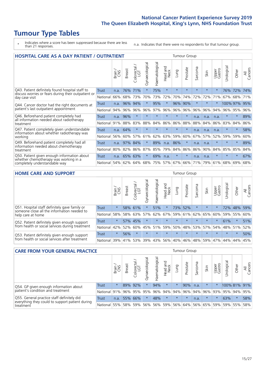# **Tumour Type Tables**

\* Indicates where a score has been suppressed because there are less than 21 responses.

n.a. Indicates that there were no respondents for that tumour group.

| <b>HOSPITAL CARE AS A DAY PATIENT / OUTPATIENT</b>                                                    | <b>Tumour Group</b> |       |               |                         |                |                |                            |         |          |         |         |                 |            |         |                |
|-------------------------------------------------------------------------------------------------------|---------------------|-------|---------------|-------------------------|----------------|----------------|----------------------------|---------|----------|---------|---------|-----------------|------------|---------|----------------|
|                                                                                                       |                     | Brain | <b>Breast</b> | olorectal /<br>LGT<br>Ũ | Gynaecological | Haematological | and<br><b>Neck</b><br>Head | Lung    | Prostate | Sarcoma | Skin    | Upper<br>Gastro | Jrological | Other   | All<br>Cancers |
| Q43. Patient definitely found hospital staff to                                                       | <b>Trust</b>        | n.a.  | 76%           | 71%                     | $\star$        | 75%            | $\star$                    | $\star$ | $\star$  | $\star$ | $\star$ | $\star$         | 76%        | 72%     | 74%            |
| discuss worries or fears during their outpatient or<br>day case visit                                 | National            | 66%   | 68%           | 73%                     | 70%            | 73%            | 72%                        | 70%     | 74%      | 72%     | 72%     | 71%             | 67%        | 68%     | 71%            |
| Q44. Cancer doctor had the right documents at<br>patient's last outpatient appointment                | Trust               | n.a.  | 96%           | 94%                     |                | 95%            | $\star$                    | 96%     | 90%      | $\star$ |         |                 | 100% 97%   |         | 95%            |
|                                                                                                       | National            | 94%   | 96%           | 96%                     | 96%            | 97%            | 96%                        | 96%     | 96%      | 96%     | 96%     | 94%             | $96\%$     | 95%     | 96%            |
| Q46. Beforehand patient completely had<br>all information needed about radiotherapy<br>treatment      | Trust               | n.a.  | 96%           | $\star$                 | $\star$        |                | $\star$                    | $\star$ | $\star$  | n.a.    | n.a.    | n.a.            | $\star$    | $\star$ | 89%            |
|                                                                                                       | National            | 91%   | 88%           | 83%                     | 88%            | 84%            | 86%                        | 86%     | 88%      | 88%     | 84%     | 86%             | 83%        | 84%     | 86%            |
| Q47. Patient completely given understandable<br>information about whether radiotherapy was<br>working | Trust               | n.a.  | 64%           | $\star$                 |                |                | $\star$                    | $\star$ | $\star$  | n.a.    | n.a.    | n.a.            | $\star$    | $\ast$  | 58%            |
|                                                                                                       | National            | 56%   | 60%           | 57%                     | 61%            | 62%            | 63%                        | 59%     | 60%      | 67%     | 57%     | 52%             | 59%        | 59%     | 60%            |
| Q49. Beforehand patient completely had all<br>information needed about chemotherapy<br>treatment      | Trust               | n.a.  | 97%           | 84%                     | $\star$        | 89%            | n.a.                       | 86%     | $\star$  | n.a.    | n.a.    | $\star$         | $\star$    | $\star$ | 89%            |
|                                                                                                       | National            | 80%   | 82%           | 86%                     | 87%            | 85%            | 79%                        | 84%     | 86%      | 86%     | 90%     | 84%             | 85%        | 85%     | 84%            |
| Q50. Patient given enough information about                                                           | Trust               | n.a.  | 65%           | 63%                     | $\star$        | 69%            | n.a.                       | $\star$ | $\star$  | n.a.    | n.a.    | $\star$         | $\star$    | $\star$ | 67%            |
| whether chemotherapy was working in a<br>completely understandable way                                | National            | 54%   | 62%           | 64%                     | 68%            | 75%            |                            | 57% 67% | 66%      | 71%     | 79%     | 61%             | 68%        | 69%     | 68%            |

#### **HOME CARE AND SUPPORT** Tumour Group

|                                                                                                                   |              | Brain   | Breast  | Colorectal<br>LGT | $\sigma$<br>Gynaecologic | Haematological | Head and<br>Neck | <b>Dung</b>     | Prostate | Sarcoma | Skin    | Upper<br>Gastro | rological | Other   | All<br>Cancers |
|-------------------------------------------------------------------------------------------------------------------|--------------|---------|---------|-------------------|--------------------------|----------------|------------------|-----------------|----------|---------|---------|-----------------|-----------|---------|----------------|
| Q51. Hospital staff definitely gave family or<br>someone close all the information needed to<br>help care at home | <b>Trust</b> | $\star$ |         | 58% 61%           |                          | 51%            | $\ast$           | 73%             | 52%      |         | $\star$ | $\star$         |           | 72% 48% | 59%            |
|                                                                                                                   | National     | 58%     |         | 58% 63%           | 57%                      | 62%            |                  | 67%   59%   61% |          |         | 62% 65% | 60%             | 59% 55%   |         | 60%            |
| Q52. Patient definitely given enough support<br>from health or social services during treatment                   | Trust        | $\star$ |         | 57% 45%           | $\star$                  |                | $\star$          | $\star$         | $\star$  |         | $\star$ | $\star$         | 61%       | $\ast$  | 51%            |
|                                                                                                                   | National     | 42%     | 52%     | 60%               |                          | 45% 51%        | 59%              | 50%             | 48%      |         | 53% 57% | 54%             | 48% 51%   |         | 52%            |
| Q53. Patient definitely given enough support<br>from health or social services after treatment                    | Trust        | $\star$ | 56%     |                   |                          |                | $\star$          | $\star$         | $\star$  | $\star$ | $\star$ | $\star$         | $\star$   | $\star$ | 50%            |
|                                                                                                                   | National     | 39%     | 41% 53% |                   | 39%                      | $ 43\% $       | 56%              | 40%             | 46%      | 48%     | 59%     | 47%             | 44%       | 44%     | 45%            |

| <b>CARE FROM YOUR GENERAL PRACTICE</b>                                                                     | Tumour Group |         |               |            |                |                |                  |         |          |         |             |                 |                         |         |                |
|------------------------------------------------------------------------------------------------------------|--------------|---------|---------------|------------|----------------|----------------|------------------|---------|----------|---------|-------------|-----------------|-------------------------|---------|----------------|
|                                                                                                            |              | Brain,  | <b>Breast</b> | Colorectal | Gynaecological | Haematological | Head and<br>Neck | Lung    | Prostate | Sarcoma | Skin        | Upper<br>Gastro | $\sigma$<br>Urologica   | Other   | All<br>Cancers |
| Q54. GP given enough information about<br>patient's condition and treatment                                | <b>Trust</b> | $\star$ |               | 89% 92%    | $\star$        | 94%            | $\star$          | $\star$ | 90%      | n.a.    | $\star$     | $\star$         | 100% 81% 91%            |         |                |
|                                                                                                            | National 91% |         |               |            | 96% 95% 95%    |                | 96% 94% 94%      |         | 96%      |         |             |                 | 94% 96% 93% 95% 94% 95% |         |                |
| Q55. General practice staff definitely did<br>everything they could to support patient during<br>treatment | <b>Trust</b> | n.a.    |               | 55% 66%    | $\star$        | 48%            | $\star$          | $\star$ | $\star$  | n.a.    | $\star$     | $\star$         | 63%                     | $\star$ | 58%            |
|                                                                                                            | National 55% |         |               | 58% 59%    | 56%            |                | 56% 59% 56% 64%  |         |          |         | 56% 65% 59% |                 |                         | 59% 55% | 58%            |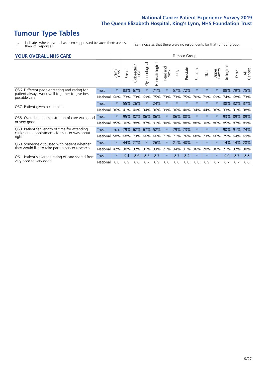# **Tumour Type Tables**

- \* Indicates where a score has been suppressed because there are less than 21 responses.
- n.a. Indicates that there were no respondents for that tumour group.

|  |  |  | <b>YOUR OVERALL NHS CARE</b> |
|--|--|--|------------------------------|
|--|--|--|------------------------------|

| <b>YOUR OVERALL NHS CARE</b>                                                                             |              |         |               |                   |                |                |                         |         | <b>Tumour Group</b> |         |         |                 |            |       |                |  |  |  |  |  |
|----------------------------------------------------------------------------------------------------------|--------------|---------|---------------|-------------------|----------------|----------------|-------------------------|---------|---------------------|---------|---------|-----------------|------------|-------|----------------|--|--|--|--|--|
|                                                                                                          |              | Brain   | <b>Breast</b> | Colorectal<br>LGT | Gynaecological | Haematological | aad and<br>Neck<br>Head | Lung    | Prostate            | Sarcoma | Skin    | Upper<br>Gastro | Urological | Other | All<br>Cancers |  |  |  |  |  |
| Q56. Different people treating and caring for                                                            | Trust        | $\star$ | 83%           | 67%               | $\star$        | 71%            | $\ast$                  | 57%     | 72%                 | $\ast$  | $\star$ | $\star$         | 88%        | 79%   | 75%            |  |  |  |  |  |
| patient always work well together to give best<br>possible care                                          | National     | 60%     |               | 73% 73%           | 69%            | 75%            | 73%                     | 73%     | 75%                 | 70%     | 79%     | 69%             | 74%        | 68%   | 73%            |  |  |  |  |  |
| Q57. Patient given a care plan                                                                           | Trust        | $\star$ | 55% 26%       |                   |                | 24%            | $\star$                 | $\star$ | $\star$             | $\star$ | $\star$ | $\star$         | 38%        | 32%   | 37%            |  |  |  |  |  |
|                                                                                                          | National     | 36%     | 41%           | 40%               | 34%            | 36%            | 39%                     | 36%     | 40%                 | 34%     | 44%     | 36%             | 33%        | 31%   | 38%            |  |  |  |  |  |
| Q58. Overall the administration of care was good<br>or very good                                         | Trust        | $\star$ | 95%           | 82%               | 86%            | 86%            | $\ast$                  | 86% 88% |                     | $\ast$  |         |                 | 93%        | 89%   | 89%            |  |  |  |  |  |
|                                                                                                          | National     | 85%     | 90%           | 88%               | 87%            | 91%            | 90%                     | 90%     | 88%                 | 88%     | 90%     | 86%             | 85%        | 87%   | 89%            |  |  |  |  |  |
| Q59. Patient felt length of time for attending<br>clinics and appointments for cancer was about<br>right | Trust        | n.a.    | 79%           | 62%               | 67%            | 52%            | $^\star$                | 79% 73% |                     | $\star$ | $\star$ |                 | $90\%$     | 91%   | 74%            |  |  |  |  |  |
|                                                                                                          | National     | 58%     |               | 68% 73%           | 66%            | 66%            | 71%                     | 71%     | 76%                 | 68%     | 73%     | 66%             | 75%        | 64%   | 69%            |  |  |  |  |  |
| Q60. Someone discussed with patient whether<br>they would like to take part in cancer research           | Trust        | $\star$ | 44%           | 27%               | $\star$        | 26%            | $\ast$                  | 21% 40% |                     | $\star$ | $\ast$  | $\star$         | 14%        | 14%   | 28%            |  |  |  |  |  |
|                                                                                                          | National     | 42%     | 30%           | 32%               | 31%            | 33%            | 21%                     | 34%     | 31%                 | 36%     | 20%     | 36%             | 21%        | 32%   | 30%            |  |  |  |  |  |
| Q61. Patient's average rating of care scored from                                                        | <b>Trust</b> | $\star$ | 9.1           | 8.6               | 8.5            | 8.7            | $\ast$                  | 8.7     | 8.4                 | $\star$ | $\star$ | $\star$         | 9.0        | 8.7   | 8.8            |  |  |  |  |  |
| very poor to very good                                                                                   | National     | 8.6     | 8.9           | 8.8               | 8.7            | 8.9            | 8.8                     | 8.8     | 8.8                 | 8.8     | 8.9     | 8.7             | 8.7        | 8.7   | 8.8            |  |  |  |  |  |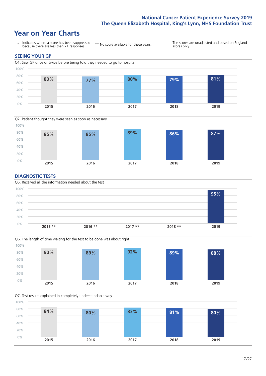### **Year on Year Charts**





#### **DIAGNOSTIC TESTS**





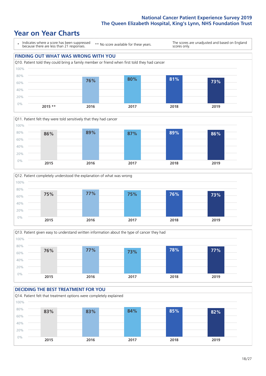







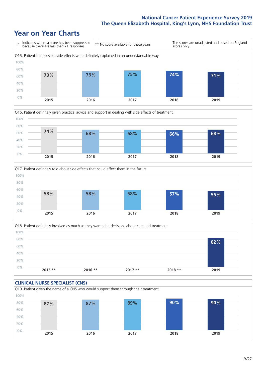





Q18. Patient definitely involved as much as they wanted in decisions about care and treatment  $0%$ 20% 40% 60% 80% 100% **2015 \*\* 2016 \*\* 2017 \*\* 2018 \*\* 2019 82%**

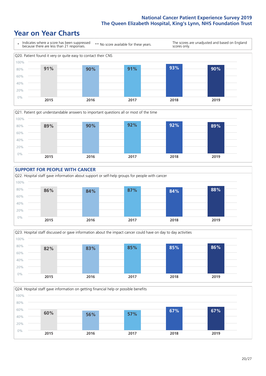







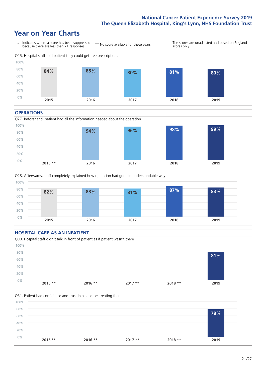### **Year on Year Charts**



#### **OPERATIONS**





### **HOSPITAL CARE AS AN INPATIENT** Q30. Hospital staff didn't talk in front of patient as if patient wasn't there 0% 20% 40% 60% 80% 100% **2015 \*\* 2016 \*\* 2017 \*\* 2018 \*\* 2019 81%**

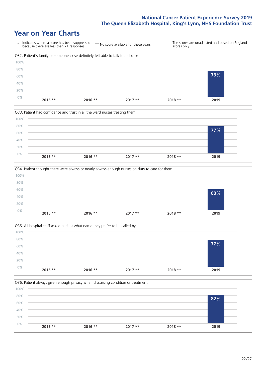







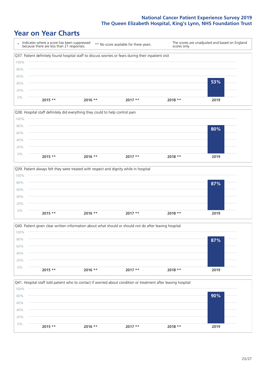







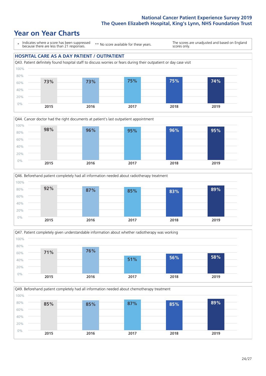### **Year on Year Charts**

\* Indicates where a score has been suppressed because there are less than 21 responses.

\*\* No score available for these years.

The scores are unadjusted and based on England scores only.









Q49. Beforehand patient completely had all information needed about chemotherapy treatment 100%

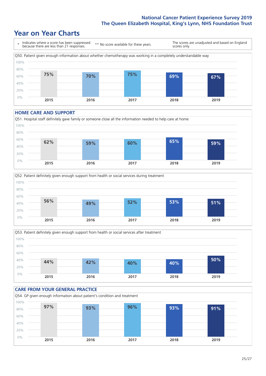### **Year on Year Charts**



#### **HOME CARE AND SUPPORT**







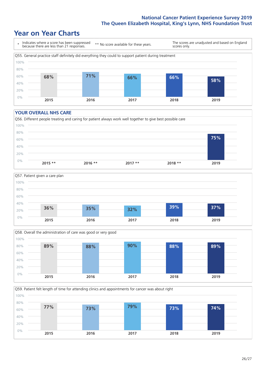### **Year on Year Charts**



#### **YOUR OVERALL NHS CARE**







Q59. Patient felt length of time for attending clinics and appointments for cancer was about right